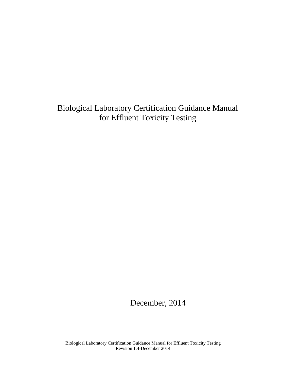Biological Laboratory Certification Guidance Manual for Effluent Toxicity Testing

December, 2014

Biological Laboratory Certification Guidance Manual for Effluent Toxicity Testing Revision 1.4-December 2014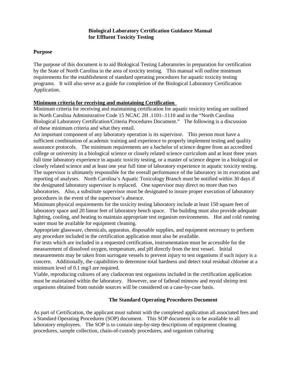# **Biological Laboratory Certification Guidance Manual for Effluent Toxicity Testing**

### **Purpose**

The purpose of this document is to aid Biological Testing Laboratories in preparation for certification by the State of North Carolina in the area of toxicity testing. This manual will outline minimum requirements for the establishment of standard operating procedures for aquatic toxicity testing programs. It will also serve as a guide for completion of the Biological Laboratory Certification Application.

# **Minimum criteria for receiving and maintaining Certification**

Minimum criteria for receiving and maintaining certification for aquatic toxicity testing are outlined in North Carolina Administrative Code 15 NCAC 2H .1101-.1110 and in the "North Carolina Biological Laboratory Certification/Criteria Procedures Document." The following is a discussion of these minimum criteria and what they entail.

An important component of any laboratory operation is its supervisor. This person must have a sufficient combination of academic training and experience to properly implement testing and quality assurance protocols. The minimum requirements are a bachelor of science degree from an accredited college or university in a biological science or closely related science curriculum and at least three years full time laboratory experience in aquatic toxicity testing, or a master of science degree in a biological or closely related science and at least one year full time of laboratory experience in aquatic toxicity testing. The supervisor is ultimately responsible for the overall performance of the laboratory in its execution and reporting of analyses. North Carolina's Aquatic Toxicology Branch must be notified within 30 days if the designated laboratory supervisor is replaced. One supervisor may direct no more than two laboratories. Also, a substitute supervisor must be designated to insure proper execution of laboratory procedures in the event of the supervisor's absence.

Minimum physical requirements for the toxicity testing laboratory include at least 150 square feet of laboratory space and 20 linear feet of laboratory bench space. The building must also provide adequate lighting, cooling, and heating to maintain appropriate test organism environments. Hot and cold running water must be available for equipment cleaning.

Appropriate glassware, chemicals, apparatus, disposable supplies, and equipment necessary to perform any procedure included in the certification application must also be available.

For tests which are included in a requested certification, instrumentation must be accessible for the measurement of dissolved oxygen, temperature, and pH directly from the test vessel. Initial measurements may be taken from surrogate vessels to prevent injury to test organisms if such injury is a concern. Additionally, the capabilities to determine total hardness and detect total residual chlorine at a minimum level of 0.1 mg/l are required.

Viable, reproducing cultures of any cladoceran test organisms included in the certification application must be maintained within the laboratory. However, use of fathead minnow and mysid shrimp test organisms obtained from outside sources will be considered on a case-by-case basis.

# **The Standard Operating Procedures Document**

As part of Certification, the applicant must submit with the completed application all associated fees and a Standard Operating Procedures (SOP) document. This SOP document is to be available to all laboratory employees. The SOP is to contain step-by-step descriptions of equipment cleaning procedures, sample collection, chain-of-custody procedures, and organism culturing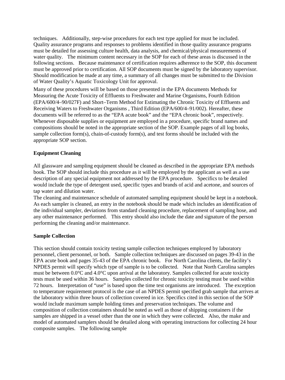techniques. Additionally, step-wise procedures for each test type applied for must be included. Quality assurance programs and responses to problems identified in those quality assurance programs must be detailed for assessing culture health, data analysis, and chemical/physical measurements of water quality. The minimum content necessary in the SOP for each of these areas is discussed in the following sections. Because maintenance of certification requires adherence to the SOP, this document must be approved prior to certification. All SOP documents must be signed by the laboratory supervisor. Should modification be made at any time, a summary of all changes must be submitted to the Division of Water Quality's Aquatic Toxicology Unit for approval.

Many of these procedures will be based on those presented in the EPA documents Methods for Measuring the Acute Toxicity of Effluents to Freshwater and Marine Organisms, Fourth Edition (EPA/600/4–90/027F) and Short–Term Method for Estimating the Chronic Toxicity of Effluents and Receiving Waters to Freshwater Organisms , Third Edition (EPA/600/4–91/002). Hereafter, these documents will be referred to as the "EPA acute book" and the "EPA chronic book", respectively. Whenever disposable supplies or equipment are employed in a procedure, specific brand names and compositions should be noted in the appropriate section of the SOP. Example pages of all log books, sample collection form(s), chain-of-custody form(s), and test forms should be included with the appropriate SOP section.

### **Equipment Cleaning**

All glassware and sampling equipment should be cleaned as described in the appropriate EPA methods book. The SOP should include this procedure as it will be employed by the applicant as well as a use description of any special equipment not addressed by the EPA procedure. Specifics to be detailed would include the type of detergent used, specific types and brands of acid and acetone, and sources of tap water and dilution water.

The cleaning and maintenance schedule of automated sampling equipment should be kept in a notebook. As each sampler is cleaned, an entry in the notebook should be made which includes an identification of the individual sampler, deviations from standard cleaning procedure, replacement of sampling hose, and any other maintenance performed. This entry should also include the date and signature of the person performing the cleaning and/or maintenance.

#### **Sample Collection**

This section should contain toxicity testing sample collection techniques employed by laboratory personnel, client personnel, or both. Sample collection techniques are discussed on pages 39-43 in the EPA acute book and pages 35-43 of the EPA chronic book. For North Carolina clients, the facility's NPDES permit will specify which type of sample is to be collected. Note that North Carolina samples must be between 0.0°C and 4.0°C upon arrival at the laboratory. Samples collected for acute toxicity tests must be used within 36 hours. Samples collected for chronic toxicity testing must be used within 72 hours. Interpretation of "use" is based upon the time test organisms are introduced. The exception to temperature requirement protocol is the case of an NPDES permit specified grab sample that arrives at the laboratory within three hours of collection covered in ice. Specifics cited in this section of the SOP would include maximum sample holding times and preservation techniques. The volume and composition of collection containers should be noted as well as those of shipping containers if the samples are shipped in a vessel other than the one in which they were collected. Also, the make and model of automated samplers should be detailed along with operating instructions for collecting 24 hour composite samples. The following sample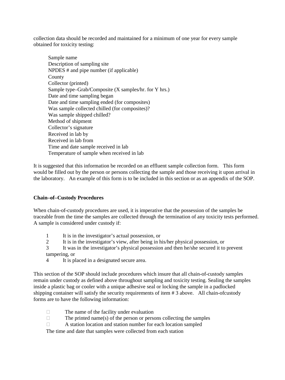collection data should be recorded and maintained for a minimum of one year for every sample obtained for toxicity testing:

Sample name Description of sampling site NPDES # and pipe number (if applicable) County Collector (printed) Sample type–Grab/Composite (X samples/hr. for Y hrs.) Date and time sampling began Date and time sampling ended (for composites) Was sample collected chilled (for composites)? Was sample shipped chilled? Method of shipment Collector's signature Received in lab by Received in lab from Time and date sample received in lab Temperature of sample when received in lab

It is suggested that this information be recorded on an effluent sample collection form. This form would be filled out by the person or persons collecting the sample and those receiving it upon arrival in the laboratory. An example of this form is to be included in this section or as an appendix of the SOP.

### **Chain–of–Custody Procedures**

When chain-of-custody procedures are used, it is imperative that the possession of the samples be traceable from the time the samples are collected through the termination of any toxicity tests performed. A sample is considered under custody if:

- 1 It is in the investigator's actual possession, or
- 2 It is in the investigator's view, after being in his/her physical possession, or
- 3 It was in the investigator's physical possession and then he/she secured it to prevent tampering, or
- 4 It is placed in a designated secure area.

This section of the SOP should include procedures which insure that all chain-of-custody samples remain under custody as defined above throughout sampling and toxicity testing. Sealing the samples inside a plastic bag or cooler with a unique adhesive seal or locking the sample in a padlocked shipping container will satisfy the security requirements of item # 3 above. All chain-ofcustody forms are to have the following information:

- $\Box$  The name of the facility under evaluation
- $\Box$  The printed name(s) of the person or persons collecting the samples
- $\Box$  A station location and station number for each location sampled

The time and date that samples were collected from each station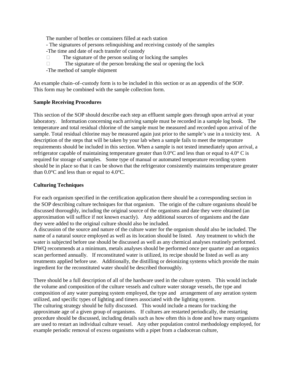The number of bottles or containers filled at each station - The signatures of persons relinquishing and receiving custody of the samples -The time and date of each transfer of custody

 $\Box$  The signature of the person sealing or locking the samples

 $\Box$  The signature of the person breaking the seal or opening the lock

-The method of sample shipment

An example chain–of–custody form is to be included in this section or as an appendix of the SOP. This form may be combined with the sample collection form.

# **Sample Receiving Procedures**

This section of the SOP should describe each step an effluent sample goes through upon arrival at your laboratory. Information concerning each arriving sample must be recorded in a sample log book. The temperature and total residual chlorine of the sample must be measured and recorded upon arrival of the sample. Total residual chlorine may be measured again just prior to the sample's use in a toxicity test. A description of the steps that will be taken by your lab when a sample fails to meet the temperature requirements should be included in this section. When a sample is not tested immediately upon arrival, a refrigerator capable of maintaining temperature greater than 0.0°C and less than or equal to 4.0° C is required for storage of samples. Some type of manual or automated temperature recording system should be in place so that it can be shown that the refrigerator consistently maintains temperature greater than 0.0°C and less than or equal to 4.0°C.

# **Culturing Techniques**

For each organism specified in the certification application there should be a corresponding section in the SOP describing culture techniques for that organism. The origin of the culture organisms should be discussed thoroughly, including the original source of the organisms and date they were obtained (an approximation will suffice if not known exactly). Any additional sources of organisms and the date they were added to the original culture should also be included.

A discussion of the source and nature of the culture water for the organism should also be included. The name of a natural source employed as well as its location should be listed. Any treatment to which the water is subjected before use should be discussed as well as any chemical analyses routinely performed. DWQ recommends at a minimum, metals analyses should be performed once per quarter and an organics scan performed annually. If reconstituted water is utilized, its recipe should be listed as well as any treatments applied before use. Additionally, the distilling or deionizing systems which provide the main ingredient for the reconstituted water should be described thoroughly.

There should be a full description of all of the hardware used in the culture system. This would include the volume and composition of the culture vessels and culture water storage vessels, the type and composition of any water pumping system employed, the type and arrangement of any aeration system utilized, and specific types of lighting and timers associated with the lighting system. The culturing strategy should be fully discussed. This would include a means for tracking the approximate age of a given group of organisms. If cultures are restarted periodically, the restarting procedure should be discussed, including details such as how often this is done and how many organisms are used to restart an individual culture vessel. Any other population control methodology employed, for example periodic removal of excess organisms with a pipet from a cladoceran culture,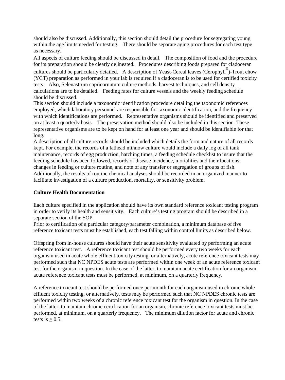should also be discussed. Additionally, this section should detail the procedure for segregating young within the age limits needed for testing. There should be separate aging procedures for each test type as necessary.

All aspects of culture feeding should be discussed in detail. The composition of food and the procedure for its preparation should be clearly delineated. Procedures describing foods prepared for cladoceran

cultures should be particularly detailed. A description of Yeast-Cereal leaves (Cerophyll ® )-Trout chow (YCT) preparation as performed in your lab is required if a cladoceran is to be used for certified toxicity tests. Also, Selenastrum capricornutum culture methods, harvest techniques, and cell density calculations are to be detailed. Feeding rates for culture vessels and the weekly feeding schedule should be discussed.

This section should include a taxonomic identification procedure detailing the taxonomic references employed, which laboratory personnel are responsible for taxonomic identification, and the frequency with which identifications are performed. Representative organisms should be identified and preserved on at least a quarterly basis. The preservation method should also be included in this section. These representative organisms are to be kept on hand for at least one year and should be identifiable for that long.

A description of all culture records should be included which details the form and nature of all records kept. For example, the records of a fathead minnow culture would include a daily log of all tank maintenance, records of egg production, hatching times, a feeding schedule checklist to insure that the feeding schedule has been followed, records of disease incidence, mortalities and their locations, changes in feeding or culture routine, and note of any transfer or segregation of groups of fish. Additionally, the results of routine chemical analyses should be recorded in an organized manner to facilitate investigation of a culture production, mortality, or sensitivity problem.

# **Culture Health Documentation**

Each culture specified in the application should have its own standard reference toxicant testing program in order to verify its health and sensitivity. Each culture's testing program should be described in a separate section of the SOP.

Prior to certification of a particular category/parameter combination, a minimum database of five reference toxicant tests must be established, each test falling within control limits as described below.

Offspring from in-house cultures should have their acute sensitivity evaluated by performing an acute reference toxicant test. A reference toxicant test should be performed every two weeks for each organism used in acute whole effluent toxicity testing, or alternatively, acute reference toxicant tests may performed such that NC NPDES acute tests are performed within one week of an acute reference toxicant test for the organism in question. In the case of the latter, to maintain acute certification for an organism, acute reference toxicant tests must be performed, at minimum, on a quarterly frequency.

A reference toxicant test should be performed once per month for each organism used in chronic whole effluent toxicity testing, or alternatively, tests may be performed such that NC NPDES chronic tests are performed within two weeks of a chronic reference toxicant test for the organism in question. In the case of the latter, to maintain chronic certification for an organism, chronic reference toxicant tests must be performed, at minimum, on a quarterly frequency. The minimum dilution factor for acute and chronic tests is  $\geq 0.5$ .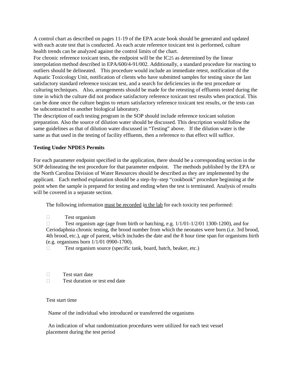A control chart as described on pages 11-19 of the EPA acute book should be generated and updated with each acute test that is conducted. As each acute reference toxicant test is performed, culture health trends can be analyzed against the control limits of the chart.

For chronic reference toxicant tests, the endpoint will be the IC25 as determined by the linear interpolation method described in EPA/600/4-91/002. Additionally, a standard procedure for reacting to outliers should be delineated. This procedure would include an immediate retest, notification of the Aquatic Toxicology Unit, notification of clients who have submitted samples for testing since the last satisfactory standard reference toxicant test, and a search for deficiencies in the test procedure or culturing techniques. Also, arrangements should be made for the retesting of effluents tested during the time in which the culture did not produce satisfactory reference toxicant test results when practical. This can be done once the culture begins to return satisfactory reference toxicant test results, or the tests can be subcontracted to another biological laboratory.

The description of each testing program in the SOP should include reference toxicant solution preparation. Also the source of dilution water should be discussed. This description would follow the same guidelines as that of dilution water discussed in "Testing" above. If the dilution water is the same as that used in the testing of facility effluents, then a reference to that effect will suffice.

### **Testing Under NPDES Permits**

For each parameter endpoint specified in the application, there should be a corresponding section in the SOP delineating the test procedure for that parameter endpoint. The methods published by the EPA or the North Carolina Division of Water Resources should be described as they are implemented by the applicant. Each method explanation should be a step–by–step "cookbook" procedure beginning at the point when the sample is prepared for testing and ending when the test is terminated. Analysis of results will be covered in a separate section.

The following information must be recorded in the lab for each toxicity test performed:

Test organism

□ Test organism age (age from birth or hatching, e.g.  $1/1/01-1/2/01$  1300-1200), and for Ceriodaphnia chronic testing, the brood number from which the neonates were born (i.e. 3rd brood, 4th brood, etc.), age of parent, which includes the date and the 8 hour time span for organisms birth (e.g. organisms born 1/1/01 0900-1700).

□ Test organism source (specific tank, board, batch, beaker, etc.)

- $\square$  Test start date
- $\Box$  Test duration or test end date

#### Test start time

Name of the individual who introduced or transferred the organisms

An indication of what randomization procedures were utilized for each test vessel placement during the test period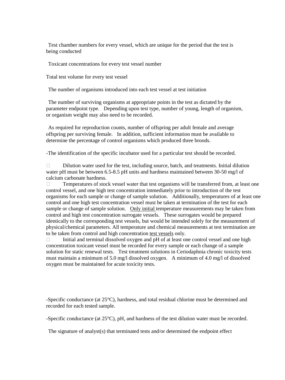Test chamber numbers for every vessel, which are unique for the period that the test is being conducted

Toxicant concentrations for every test vessel number

Total test volume for every test vessel

The number of organisms introduced into each test vessel at test initiation

The number of surviving organisms at appropriate points in the test as dictated by the parameter endpoint type. Depending upon test type, number of young, length of organism, or organism weight may also need to be recorded.

As required for reproduction counts, number of offspring per adult female and average offspring per surviving female. In addition, sufficient information must be available to determine the percentage of control organisms which produced three broods.

-The identification of the specific incubator used for a particular test should be recorded.

 $\Box$  Dilution water used for the test, including source, batch, and treatments. Initial dilution water pH must be between 6.5-8.5 pH units and hardness maintained between 30-50 mg/l of calcium carbonate hardness.

 $\Box$  Temperatures of stock vessel water that test organisms will be transferred from, at least one control vessel, and one high test concentration immediately prior to introduction of the test organisms for each sample or change of sample solution. Additionally, temperatures of at least one control and one high test concentration vessel must be taken at termination of the test for each sample or change of sample solution. Only initial temperature measurements may be taken from control and high test concentration surrogate vessels. These surrogates would be prepared identically to the corresponding test vessels, but would be intended solely for the measurement of physical/chemical parameters. All temperature and chemical measurements at test termination are to be taken from control and high concentration test vessels only.

 $\Box$  Initial and terminal dissolved oxygen and  $pH$  of at least one control vessel and one high concentration toxicant vessel must be recorded for every sample or each change of a sample solution for static renewal tests. Test treatment solutions in Ceriodaphnia chronic toxicity tests must maintain a minimum of 5.0 mg/l dissolved oxygen. A minimum of 4.0 mg/l of dissolved oxygen must be maintained for acute toxicity tests.

-Specific conductance (at 25°C), hardness, and total residual chlorine must be determined and recorded for each tested sample.

-Specific conductance (at 25°C), pH, and hardness of the test dilution water must be recorded.

The signature of analyst(s) that terminated tests and/or determined the endpoint effect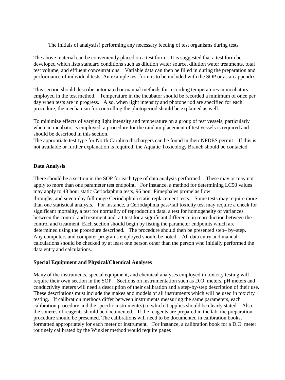The initials of analyst(s) performing any necessary feeding of test organisms during tests

The above material can be conveniently placed on a test form. It is suggested that a test form be developed which lists standard conditions such as dilution water source, dilution water treatments, total test volume, and effluent concentrations. Variable data can then be filled in during the preparation and performance of individual tests. An example test form is to be included with the SOP or as an appendix.

This section should describe automated or manual methods for recording temperatures in incubators employed in the test method. Temperature in the incubator should be recorded a minimum of once per day when tests are in progress. Also, when light intensity and photoperiod are specified for each procedure, the mechanism for controlling the photoperiod should be explained as well.

To minimize effects of varying light intensity and temperature on a group of test vessels, particularly when an incubator is employed, a procedure for the random placement of test vessels is required and should be described in this section.

The appropriate test type for North Carolina dischargers can be found in their NPDES permit. If this is not available or further explanation is required, the Aquatic Toxicology Branch should be contacted.

# **Data Analysis**

There should be a section in the SOP for each type of data analysis performed. These may or may not apply to more than one parameter test endpoint. For instance, a method for determining LC50 values may apply to 48 hour static Ceriodaphnia tests, 96 hour Pimephales promelas flow throughs, and seven-day full range Ceriodaphnia static replacement tests. Some tests may require more than one statistical analysis. For instance, a Ceriodaphnia pass/fail toxicity test may require a check for significant mortality, a test for normality of reproduction data, a test for homogeneity of variances between the control and treatment and, a t test for a significant difference in reproduction between the control and treatment. Each section should begin by listing the parameter endpoints which are determined using the procedure described. The procedure should then be presented step– by–step. Any computers and computer programs employed should be noted. All data entry and manual calculations should be checked by at least one person other than the person who initially performed the data entry and calculations.

### **Special Equipment and Physical/Chemical Analyses**

Many of the instruments, special equipment, and chemical analyses employed in toxicity testing will require their own section in the SOP. Sections on instrumentation such as D.O. meters, pH meters and conductivity meters will need a description of their calibration and a step-by-step description of their use. These descriptions must include the makes and models of all instruments which will be used in toxicity testing. If calibration methods differ between instruments measuring the same parameters, each calibration procedure and the specific instrument(s) to which it applies should be clearly stated. Also, the sources of reagents should be documented. If the reagents are prepared in the lab, the preparation procedure should be presented. The calibrations will need to be documented in calibration books, formatted appropriately for each meter or instrument. For instance, a calibration book for a D.O. meter routinely calibrated by the Winkler method would require pages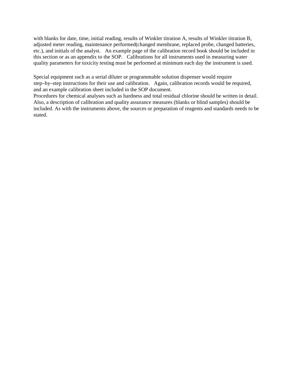with blanks for date, time, initial reading, results of Winkler titration A, results of Winkler titration B, adjusted meter reading, maintenance performed(changed membrane, replaced probe, changed batteries, etc.), and initials of the analyst. An example page of the calibration record book should be included in this section or as an appendix to the SOP. Calibrations for all instruments used in measuring water quality parameters for toxicity testing must be performed at minimum each day the instrument is used.

Special equipment such as a serial diluter or programmable solution dispenser would require step–by–step instructions for their use and calibration. Again, calibration records would be required, and an example calibration sheet included in the SOP document.

Procedures for chemical analyses such as hardness and total residual chlorine should be written in detail. Also, a description of calibration and quality assurance measures (blanks or blind samples) should be included. As with the instruments above, the sources or preparation of reagents and standards needs to be stated.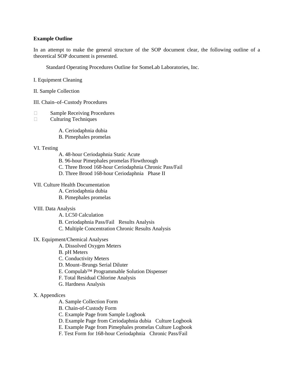## **Example Outline**

In an attempt to make the general structure of the SOP document clear, the following outline of a theoretical SOP document is presented.

Standard Operating Procedures Outline for SomeLab Laboratories, Inc.

- I. Equipment Cleaning
- II. Sample Collection
- III. Chain–of–Custody Procedures
- □ Sample Receiving Procedures
- Culturing Techniques
	- A. Ceriodaphnia dubia
	- B. Pimephales promelas

#### VI. Testing

- A. 48-hour Ceriodaphnia Static Acute
- B. 96-hour Pimephales promelas Flowthrough
- C. Three Brood 168-hour Ceriodaphnia Chronic Pass/Fail
- D. Three Brood 168-hour Ceriodaphnia Phase II

### VII. Culture Health Documentation

- A. Ceriodaphnia dubia
- B. Pimephales promelas

#### VIII. Data Analysis

- A. LC50 Calculation
- B. Ceriodaphnia Pass/Fail Results Analysis
- C. Multiple Concentration Chronic Results Analysis

# IX. Equipment/Chemical Analyses

- A. Dissolved Oxygen Meters
- B. pH Meters
- C. Conductivity Meters
- D. Mount–Brungs Serial Diluter
- E. Compulab™ Programmable Solution Dispenser
- F. Total Residual Chlorine Analysis
- G. Hardness Analysis

#### X. Appendices

- A. Sample Collection Form
- B. Chain-of-Custody Form
- C. Example Page from Sample Logbook
- D. Example Page from Ceriodaphnia dubia Culture Logbook
- E. Example Page from Pimephales promelas Culture Logbook
- F. Test Form for 168-hour Ceriodaphnia Chronic Pass/Fail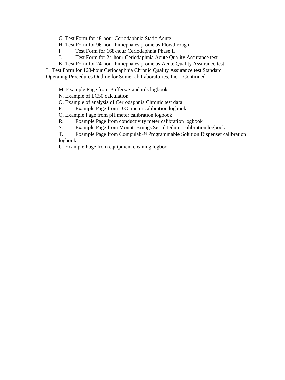G. Test Form for 48-hour Ceriodaphnia Static Acute

- H. Test Form for 96-hour Pimephales promelas Flowthrough
- I. Test Form for 168-hour Ceriodaphnia Phase II
- J. Test Form for 24-hour Ceriodaphnia Acute Quality Assurance test
- K. Test Form for 24-hour Pimephales promelas Acute Quality Assurance test

L. Test Form for 168-hour Ceriodaphnia Chronic Quality Assurance test Standard Operating Procedures Outline for SomeLab Laboratories, Inc. - Continued

M. Example Page from Buffers/Standards logbook

N. Example of LC50 calculation

O. Example of analysis of Ceriodaphnia Chronic test data

P. Example Page from D.O. meter calibration logbook

Q. Example Page from pH meter calibration logbook

R. Example Page from conductivity meter calibration logbook

S. Example Page from Mount–Brungs Serial Diluter calibration logbook

T. Example Page from Compulab™ Programmable Solution Dispenser calibration logbook

U. Example Page from equipment cleaning logbook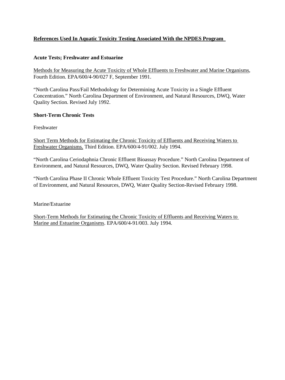# **References Used In Aquatic Toxicity Testing Associated With the NPDES Program**

# **Acute Tests; Freshwater and Estuarine**

Methods for Measuring the Acute Toxicity of Whole Effluents to Freshwater and Marine Organisms, Fourth Edition. EPA/600/4-90/027 F, September 1991.

"North Carolina Pass/Fail Methodology for Determining Acute Toxicity in a Single Effluent Concentration." North Carolina Department of Environment, and Natural Resources, DWQ, Water Quality Section. Revised July 1992.

# **Short-Term Chronic Tests**

Freshwater

Short Term Methods for Estimating the Chronic Toxicity of Effluents and Receiving Waters to Freshwater Organisms. Third Edition. EPA/600/4-91/002. July 1994.

"North Carolina Ceriodaphnia Chronic Effluent Bioassay Procedure." North Carolina Department of Environment, and Natural Resources, DWQ, Water Quality Section. Revised February 1998.

"North Carolina Phase II Chronic Whole Effluent Toxicity Test Procedure." North Carolina Department of Environment, and Natural Resources, DWQ, Water Quality Section-Revised February 1998.

Marine/Estuarine

Short-Term Methods for Estimating the Chronic Toxicity of Effluents and Receiving Waters to Marine and Estuarine Organisms. EPA/600/4-91/003. July 1994.